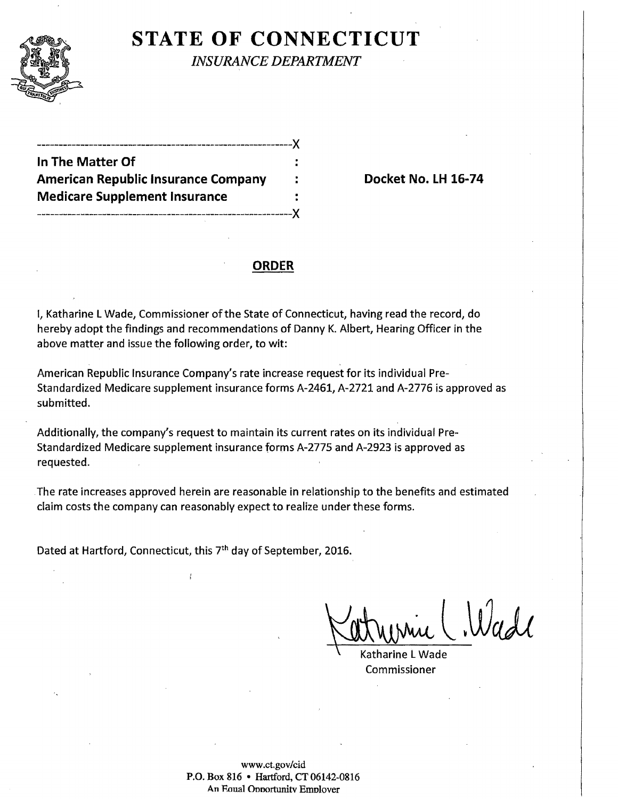

## **STATE OF CONNECTICUT**

*INSURANCE DEPARTMENT* 

| In The Matter Of                           |  |
|--------------------------------------------|--|
| <b>American Republic Insurance Company</b> |  |
| <b>Medicare Supplement Insurance</b>       |  |
|                                            |  |

**Docket No. LH 16-74** 

### **ORDER**

I, Katharine L Wade, Commissioner of the State of Connecticut, having read the record, do hereby adopt the findings and recommendations of Danny K. Albert, Hearing Officer in the above matter and issue the following order, to wit:

American Republic Insurance Company's rate increase request for its individual Pre-Standardized Medicare supplement insurance forms A-2461, A-2721 and A-2776 is approved as submitted.

Additionally, the company's request to maintain its current rates on its individual Pre-Standardized Medicare supplement insurance forms A-2775 and A-2923 is approved as requested.

. The rate increases approved herein are reasonable in relationship to the benefits and estimated claim costs the company can reasonably expect to realize under these forms.

Dated at Hartford, Connecticut, this 7th day of September, 2016.

ł

Katharine L Wade Commissioner

www.ct.gov/cid P.O. Box 816 • Hartford, CT 06142-0816 An Eaual Onoortunitv Emolover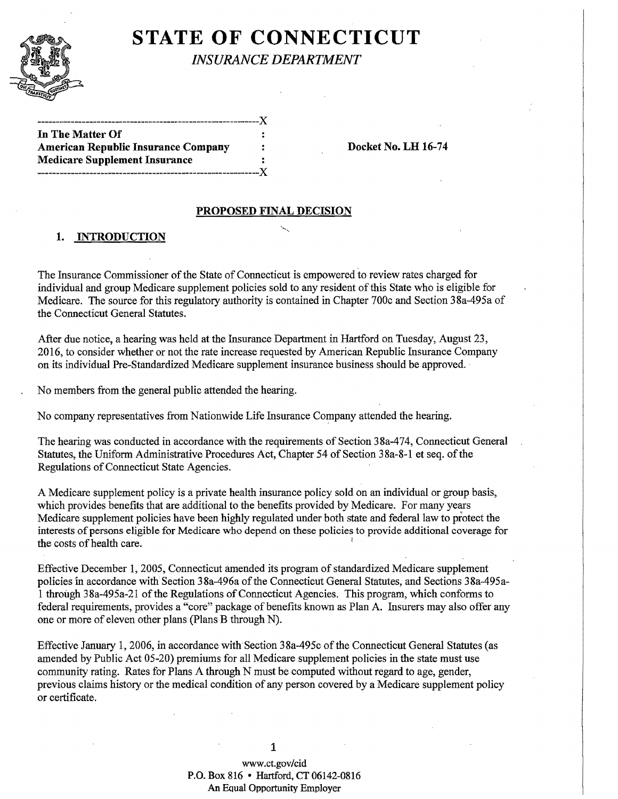

# **STATE OF CONNECTICUT**

*INSURANCE DEPARTMENT* 

| In The Matter Of                           | ÷ |
|--------------------------------------------|---|
| <b>American Republic Insurance Company</b> | ÷ |
| <b>Medicare Supplement Insurance</b>       | ÷ |
|                                            |   |

Docket No. LH 16-74

#### PROPOSED FINAL DECISION

#### 1. INTRODUCTION

The Insurance Commissioner of the State of Connecticut is empowered to review rates charged for individual and group Medicare supplement policies sold to any resident of this State who is eligible for Medicare. The source for this regulatory authority is contained in Chapter 700c and Section 38a-495a of the Connecticut General Statutes.

After due notice, a hearing was held at the Insurance Department in Hartford on Tuesday, August 23, 2016, to consider whether or not the rate increase requested by American Republic Insurance Company on its individual Pre-Standardized Medicare supplement insurance business should be approved. ·

No members from the general public attended the hearing.

No company representatives from Nationwide Life Insurance Company attended the hearing.

The hearing was conducted in accordance with the requirements of Section 38a-474, Connecticut General Statutes, the Uniform Administrative Procedures Act, Chapter 54 of Section 38a-8-1 et seq. of the Regulations of Connecticut State Agencies.

A Medicare supplement policy is a private health insurance policy sold on an individual or group basis, which provides benefits that are additional to the benefits provided by Medicare. For many years Medicare supplement policies have been highly regulated under both state and federal law to protect the interests of persons eligible for Medicare who depend on these policies to provide additional coverage for the costs of health care. <sup>1</sup>

Effective December 1, 2005, Connecticut amended its program of standardized Medicare supplement policies in accordance with Section 38a-496a of the Connecticut General Statutes, and Sections 38a-495a-1 through 38a-495a-21 of the Regulations of Connecticut Agencies. This program, which conforms to federal requirements, provides a "core" package of benefits known as Plan A. Insurers may also offer any one or more of eleven other plans (Plans B through N).

Effective January 1, 2006, in accordance with Section 38a-495c of the Connecticut General Statutes (as amended by Public Act 05-20) premiums for all Medicare supplement policies in the state must use community rating. Rates for Plans A through N must be computed without regard to age, gender, previous claims history or the medical condition of any person covered by a Medicare supplement policy or certificate.

1

www.ct.gov/cid P.O. Box 816 • Hartford, CT 06142-0816 An EQual Opportunity Employer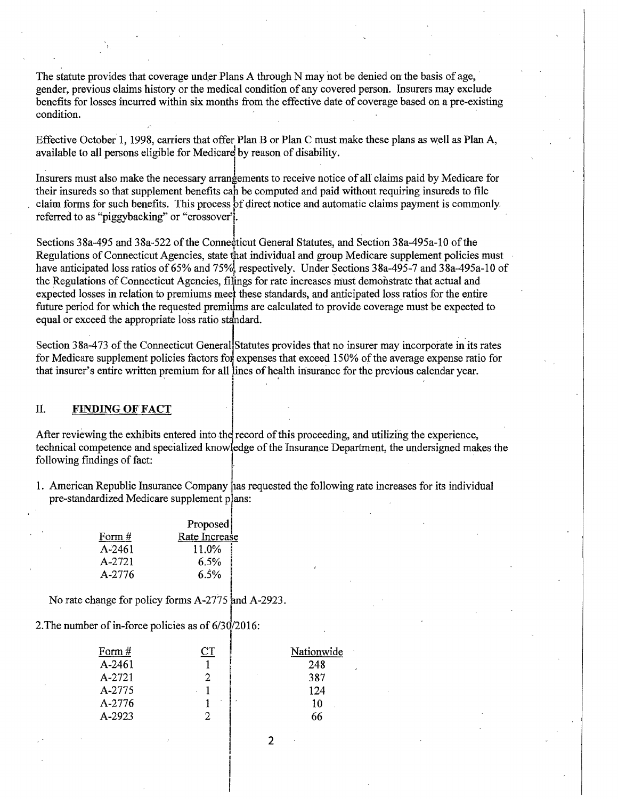The statute provides that coverage under Plans A through N may not be denied on the basis of age, gender, previous claims history or the medical condition of any covered person. Insurers may exclude benefits for losses incurred within six months from the effective date of coverage based on a pre-existing condition.

Effective October 1, 1998, carriers that offer Plan B or Plan C must make these plans as well as Plan A, available to all persons eligible for Medicare by reason of disability.

Insurers must also make the necessary arrangements to receive notice of all claims paid by Medicare for their insureds so that supplement benefits can be computed and paid without requiring insureds to file claim forms for such benefits. This process of direct notice and automatic claims payment is commonly. referred to as "piggybacking" or "crossover".

Sections 38a-495 and 38a-522 of the Connecticut General Statutes, and Section 38a-495a-10 of the Regulations of Connecticut Agencies, state that individual and group Medicare supplement policies must have anticipated loss ratios of 65% and 75%, respectively. Under Sections 38a-495-7 and 38a-495a-10 of the Regulations of Connecticut Agencies, filings for rate increases must demonstrate that actual and expected losses in relation to premiums meef these standards, and anticipated loss ratios for the entire future period for which the requested premiums are calculated to provide coverage must be expected to equal or exceed the appropriate loss ratio standard.

Section 38a-473 of the Connecticut General Statutes provides that no insurer may incorporate in its rates for Medicare supplement policies factors for expenses that exceed 150% of the average expense ratio for that insurer's entire written premium for all lines of health insurance for the previous calendar year.

#### ll. FINDING **OFFACT** ·J

'·

After reviewing the exhibits entered into the record of this proceeding, and utilizing the experience, technical competence and specialized knowledge of the Insurance Department, the undersigned makes the following findings of fact:

1. American Republic Insurance Company has requested the following rate increases for its individual pre-standardized Medicare supplement plans:

|        | Proposed      |
|--------|---------------|
| Form # | Rate Increase |
| A-2461 | 11.0%         |
| A-2721 | 6.5%          |
| A-2776 | 6.5%          |

No rate change for policy forms A-2775 and A-2923.

2. The number of in-force policies as of  $6/30/2016$ :

| Form $#$ | $\mathbb C\mathrm{T}$ | Nationwide |
|----------|-----------------------|------------|
|          |                       |            |
| A-2461   |                       | 248        |
| A-2721   |                       | 387        |
| A-2775   |                       | 124        |
| A-2776   |                       | 10         |
| A-2923   |                       | 66         |
|          |                       |            |

2